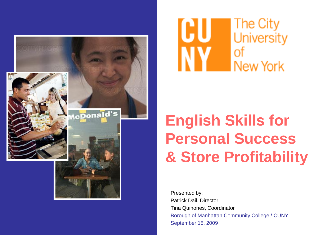



 Presented by: Borough of Manhattan Community College / CUNY Patrick Dail, Director Tina Quinones, Coordinator September 15, 2009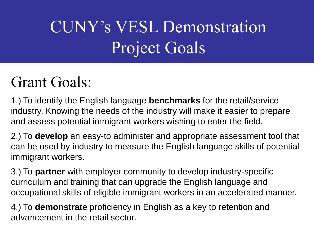# CUNY's VESL Demonstration Project Goals

#### Grant Goals:

1.) To identify the English language **benchmarks** for the retail/service industry. Knowing the needs of the industry will make it easier to prepare and assess potential immigrant workers wishing to enter the field.

2.) To **develop** an easy-to administer and appropriate assessment tool that can be used by industry to measure the English language skills of potential immigrant workers.

3.) To **partner** with employer community to develop industry-specific curriculum and training that can upgrade the English language and occupational skills of eligible immigrant workers in an accelerated manner.

4.) To **demonstrate** proficiency in English as a key to retention and advancement in the retail sector.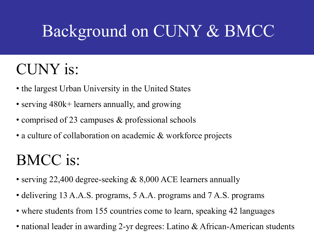# Background on CUNY & BMCC

#### CUNY is:

- the largest Urban University in the United States
- serving 480k+ learners annually, and growing
- comprised of 23 campuses & professional schools
- a culture of collaboration on academic & workforce projects

### BMCC is:

- serving 22,400 degree-seeking & 8,000 ACE learners annually
- delivering 13 A.A.S. programs, 5 A.A. programs and 7 A.S. programs
- where students from 155 countries come to learn, speaking 42 languages
- national leader in awarding 2-yr degrees: Latino & African-American students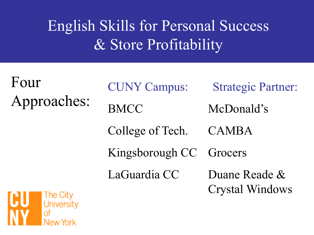Four Approaches:

CUNY Campus: Strategic Partner:

BMCC McDonald's

College of Tech. CAMBA

Kingsborough CC Grocers

LaGuardia CC Duane Reade & Crystal Windows

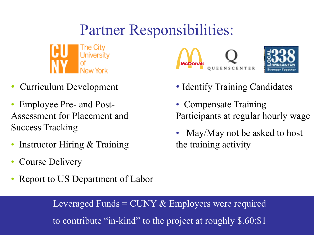### Partner Responsibilities:



- Curriculum Development
- Employee Pre- and Post-Assessment for Placement and Success Tracking
- Instructor Hiring & Training
- Course Delivery
- Report to US Department of Labor



- Identify Training Candidates
- Participants at regular hourly wage • Compensate Training
- May/May not be asked to host the training activity

Leveraged Funds  $=$  CUNY  $\&$  Employers were required to contribute "in-kind" to the project at roughly \$.60:\$1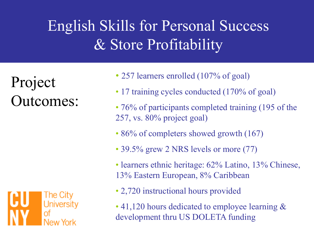Project Outcomes:



- 257 learners enrolled (107% of goal)
- 17 training cycles conducted (170% of goal)
- • 76% of participants completed training (195 of the 257, vs. 80% project goal)
- 86% of completers showed growth (167)
- 39.5% grew 2 NRS levels or more (77)
- learners ethnic heritage: 62% Latino, 13% Chinese, 13% Eastern European, 8% Caribbean
- 2,720 instructional hours provided
- development thru US DOLETA funding • 41,120 hours dedicated to employee learning &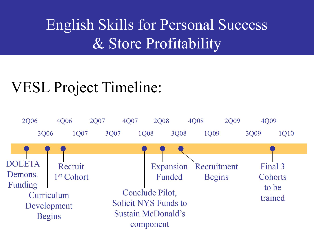#### VESL Project Timeline: